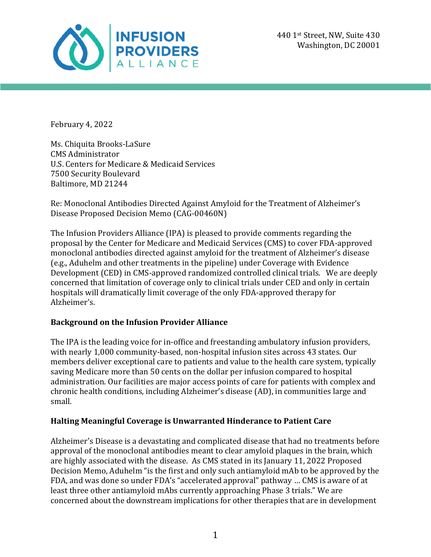

February 4, 2022

Ms. Chiquita Brooks-LaSure CMS Administrator U.S. Centers for Medicare & Medicaid Services 7500 Security Boulevard Baltimore, MD 21244

Re: Monoclonal Antibodies Directed Against Amyloid for the Treatment of Alzheimer's Disease Proposed Decision Memo (CAG-00460N)

The Infusion Providers Alliance (IPA) is pleased to provide comments regarding the proposal by the Center for Medicare and Medicaid Services (CMS) to cover FDA-approved monoclonal antibodies directed against amyloid for the treatment of Alzheimer's disease (e.g., Aduhelm and other treatments in the pipeline) under Coverage with Evidence Development (CED) in CMS-approved randomized controlled clinical trials. We are deeply concerned that limitation of coverage only to clinical trials under CED and only in certain hospitals will dramatically limit coverage of the only FDA-approved therapy for Alzheimer's. 

## **Background on the Infusion Provider Alliance**

The IPA is the leading voice for in-office and freestanding ambulatory infusion providers, with nearly 1,000 community-based, non-hospital infusion sites across 43 states. Our members deliver exceptional care to patients and value to the health care system, typically saving Medicare more than 50 cents on the dollar per infusion compared to hospital administration. Our facilities are major access points of care for patients with complex and chronic health conditions, including Alzheimer's disease (AD), in communities large and small. 

## **Halting Meaningful Coverage is Unwarranted Hinderance to Patient Care**

Alzheimer's Disease is a devastating and complicated disease that had no treatments before approval of the monoclonal antibodies meant to clear amyloid plaques in the brain, which are highly associated with the disease. As CMS stated in its January 11, 2022 Proposed Decision Memo, Aduhelm "is the first and only such antiamyloid mAb to be approved by the FDA, and was done so under FDA's "accelerated approval" pathway ... CMS is aware of at least three other antiamyloid mAbs currently approaching Phase 3 trials." We are concerned about the downstream implications for other therapies that are in development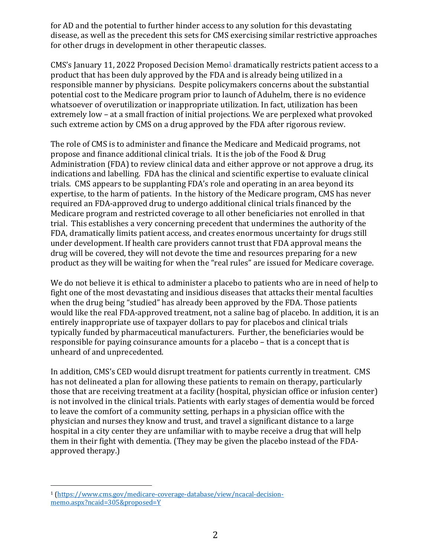for AD and the potential to further hinder access to any solution for this devastating disease, as well as the precedent this sets for CMS exercising similar restrictive approaches for other drugs in development in other therapeutic classes.

CMS's January 11, 2022 Proposed Decision Memo<sup>1</sup> dramatically restricts patient access to a product that has been duly approved by the FDA and is already being utilized in a responsible manner by physicians. Despite policymakers concerns about the substantial potential cost to the Medicare program prior to launch of Aduhelm, there is no evidence whatsoever of overutilization or inappropriate utilization. In fact, utilization has been extremely low – at a small fraction of initial projections. We are perplexed what provoked such extreme action by CMS on a drug approved by the FDA after rigorous review.

The role of CMS is to administer and finance the Medicare and Medicaid programs, not propose and finance additional clinical trials. It is the job of the Food & Drug Administration (FDA) to review clinical data and either approve or not approve a drug, its indications and labelling. FDA has the clinical and scientific expertise to evaluate clinical trials. CMS appears to be supplanting FDA's role and operating in an area beyond its expertise, to the harm of patients. In the history of the Medicare program, CMS has never required an FDA-approved drug to undergo additional clinical trials financed by the Medicare program and restricted coverage to all other beneficiaries not enrolled in that trial. This establishes a very concerning precedent that undermines the authority of the FDA, dramatically limits patient access, and creates enormous uncertainty for drugs still under development. If health care providers cannot trust that FDA approval means the drug will be covered, they will not devote the time and resources preparing for a new product as they will be waiting for when the "real rules" are issued for Medicare coverage.

We do not believe it is ethical to administer a placebo to patients who are in need of help to fight one of the most devastating and insidious diseases that attacks their mental faculties when the drug being "studied" has already been approved by the FDA. Those patients would like the real FDA-approved treatment, not a saline bag of placebo. In addition, it is an entirely inappropriate use of taxpayer dollars to pay for placebos and clinical trials typically funded by pharmaceutical manufacturers. Further, the beneficiaries would be responsible for paying coinsurance amounts for a placebo – that is a concept that is unheard of and unprecedented.

In addition, CMS's CED would disrupt treatment for patients currently in treatment. CMS has not delineated a plan for allowing these patients to remain on therapy, particularly those that are receiving treatment at a facility (hospital, physician office or infusion center) is not involved in the clinical trials. Patients with early stages of dementia would be forced to leave the comfort of a community setting, perhaps in a physician office with the physician and nurses they know and trust, and travel a significant distance to a large hospital in a city center they are unfamiliar with to maybe receive a drug that will help them in their fight with dementia. (They may be given the placebo instead of the FDAapproved therapy.)

<sup>1</sup> (https://www.cms.gov/medicare-coverage-database/view/ncacal-decisionmemo.aspx?ncaid=305&proposed=Y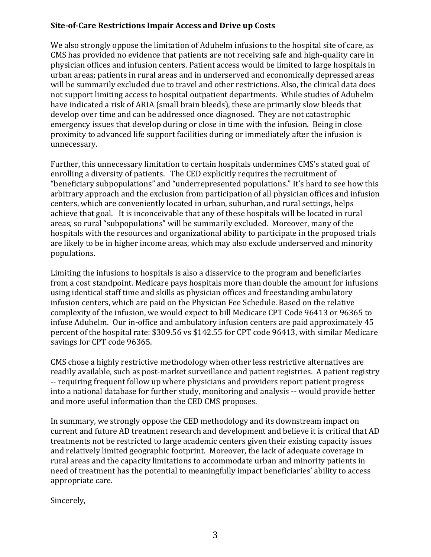## **Site-of-Care Restrictions Impair Access and Drive up Costs**

We also strongly oppose the limitation of Aduhelm infusions to the hospital site of care, as CMS has provided no evidence that patients are not receiving safe and high-quality care in physician offices and infusion centers. Patient access would be limited to large hospitals in urban areas; patients in rural areas and in underserved and economically depressed areas will be summarily excluded due to travel and other restrictions. Also, the clinical data does not support limiting access to hospital outpatient departments. While studies of Aduhelm have indicated a risk of ARIA (small brain bleeds), these are primarily slow bleeds that develop over time and can be addressed once diagnosed. They are not catastrophic emergency issues that develop during or close in time with the infusion. Being in close proximity to advanced life support facilities during or immediately after the infusion is unnecessary.

Further, this unnecessary limitation to certain hospitals undermines CMS's stated goal of enrolling a diversity of patients. The CED explicitly requires the recruitment of "beneficiary subpopulations" and "underrepresented populations." It's hard to see how this arbitrary approach and the exclusion from participation of all physician offices and infusion centers, which are conveniently located in urban, suburban, and rural settings, helps achieve that goal. It is inconceivable that any of these hospitals will be located in rural areas, so rural "subpopulations" will be summarily excluded. Moreover, many of the hospitals with the resources and organizational ability to participate in the proposed trials are likely to be in higher income areas, which may also exclude underserved and minority populations.

Limiting the infusions to hospitals is also a disservice to the program and beneficiaries from a cost standpoint. Medicare pays hospitals more than double the amount for infusions using identical staff time and skills as physician offices and freestanding ambulatory infusion centers, which are paid on the Physician Fee Schedule. Based on the relative complexity of the infusion, we would expect to bill Medicare CPT Code 96413 or 96365 to infuse Aduhelm. Our in-office and ambulatory infusion centers are paid approximately 45 percent of the hospital rate: \$309.56 vs \$142.55 for CPT code 96413, with similar Medicare savings for CPT code 96365.

CMS chose a highly restrictive methodology when other less restrictive alternatives are readily available, such as post-market surveillance and patient registries. A patient registry -- requiring frequent follow up where physicians and providers report patient progress into a national database for further study, monitoring and analysis -- would provide better and more useful information than the CED CMS proposes.

In summary, we strongly oppose the CED methodology and its downstream impact on current and future AD treatment research and development and believe it is critical that AD treatments not be restricted to large academic centers given their existing capacity issues and relatively limited geographic footprint. Moreover, the lack of adequate coverage in rural areas and the capacity limitations to accommodate urban and minority patients in need of treatment has the potential to meaningfully impact beneficiaries' ability to access appropriate care.

Sincerely,